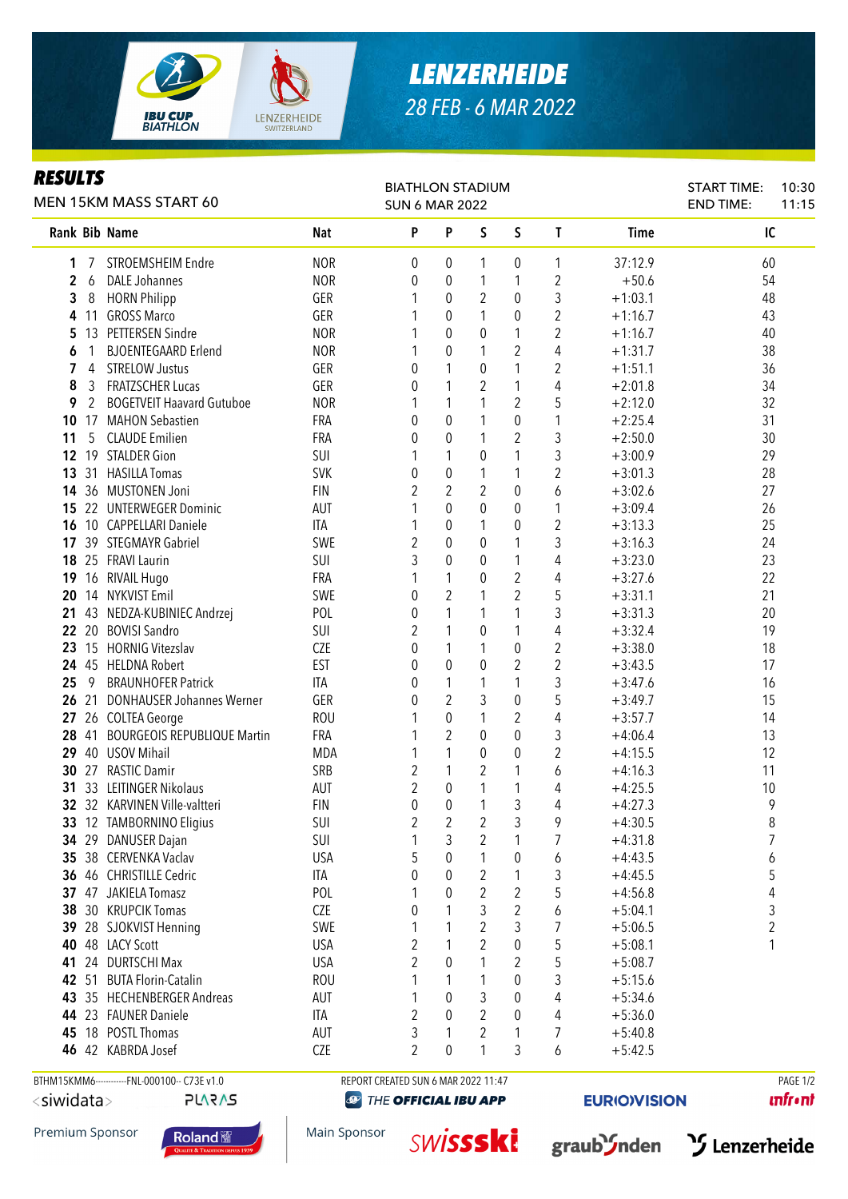

## *LENZERHEIDE 28 FEB - 6 MAR 2022*

## *RESULTS*

|                 |    | MEN 15KM MASS START 60                       |            | <b>BIATHLON STADIUM</b><br><b>SUN 6 MAR 2022</b> |                |                |                  |                |             | <b>START TIME:</b><br><b>END TIME:</b> | 10:30<br>11:15 |
|-----------------|----|----------------------------------------------|------------|--------------------------------------------------|----------------|----------------|------------------|----------------|-------------|----------------------------------------|----------------|
|                 |    | Rank Bib Name                                | <b>Nat</b> | P                                                | P              | S              | $\mathsf S$      | T              | <b>Time</b> | IC                                     |                |
| 1               |    | STROEMSHEIM Endre                            | <b>NOR</b> | 0                                                | 0              | 1              | 0                | 1              | 37:12.9     | 60                                     |                |
| 2               | 6  | <b>DALE Johannes</b>                         | <b>NOR</b> | 0                                                | 0              | 1              | 1                | $\overline{2}$ | $+50.6$     | 54                                     |                |
| 3               | 8  | <b>HORN Philipp</b>                          | GER        |                                                  | 0              | 2              | 0                | 3              | $+1:03.1$   | 48                                     |                |
| 4               |    | 11 GROSS Marco                               | GER        |                                                  | 0              | 1              | 0                | $\overline{2}$ | $+1:16.7$   | 43                                     |                |
| 5               |    | 13 PETTERSEN Sindre                          | <b>NOR</b> |                                                  | 0              | $\theta$       | 1                | $\overline{2}$ | $+1:16.7$   | 40                                     |                |
| 6               | 1  | <b>BJOENTEGAARD Erlend</b>                   | <b>NOR</b> | 1                                                | 0              | 1              | 2                | 4              | $+1:31.7$   | 38                                     |                |
| 7               | 4  | <b>STRELOW Justus</b>                        | GER        | 0                                                | 1              | 0              | 1                | 2              | $+1:51.1$   | 36                                     |                |
| 8               | 3  | <b>FRATZSCHER Lucas</b>                      | GER        | 0                                                | 1              | $\overline{2}$ | 1                | 4              | $+2:01.8$   | 34                                     |                |
| 9               | 2  | <b>BOGETVEIT Haavard Gutuboe</b>             | <b>NOR</b> | 1                                                | 1              | 1              | 2                | 5              | $+2:12.0$   | 32                                     |                |
| 10              |    | 17 MAHON Sebastien                           | FRA        | 0                                                | 0              | 1              | 0                | 1              | $+2:25.4$   | 31                                     |                |
| 11              | 5  | <b>CLAUDE Emilien</b>                        | FRA        | 0                                                | 0              | 1              | 2                | 3              | $+2:50.0$   | 30                                     |                |
| 12 <sup>°</sup> |    | 19 STALDER Gion                              | SUI        | 1                                                | 1              | 0              | 1                | 3              | $+3:00.9$   | 29                                     |                |
| 13              |    | 31 HASILLA Tomas                             | <b>SVK</b> | 0                                                | 0              | 1              | 1                | $\overline{2}$ | $+3:01.3$   | 28                                     |                |
| 14              |    | 36 MUSTONEN Joni                             | <b>FIN</b> | $\overline{2}$                                   | $\overline{2}$ | 2              | $\pmb{0}$        | 6              | $+3:02.6$   | 27                                     |                |
| 15              |    | 22 UNTERWEGER Dominic                        | AUT        | 1                                                | $\mathbf 0$    | $\mathbf 0$    | 0                | 1              | $+3:09.4$   | 26                                     |                |
| 16              |    | 10 CAPPELLARI Daniele                        | <b>ITA</b> | 1                                                | 0              | 1              | 0                | $\overline{2}$ | $+3:13.3$   | 25                                     |                |
| 17              |    | 39 STEGMAYR Gabriel                          | SWE        | $\overline{2}$                                   | 0              | 0              | 1                | 3              | $+3:16.3$   | 24                                     |                |
|                 |    | 18 25 FRAVI Laurin                           | SUI        | 3                                                | 0              | 0              | 1                | 4              | $+3:23.0$   | 23                                     |                |
| 19              |    | 16 RIVAIL Hugo                               | <b>FRA</b> | 1                                                | 1              | 0              | $\boldsymbol{2}$ | 4              | $+3:27.6$   | 22                                     |                |
| 20              |    | 14 NYKVIST Emil                              | SWE        | 0                                                | $\overline{2}$ | 1              | 2                | 5              | $+3:31.1$   | 21                                     |                |
|                 |    | 21 43 NEDZA-KUBINIEC Andrzej                 | POL        | 0                                                | 1              | 1              | 1                | 3              | $+3:31.3$   | 20                                     |                |
|                 |    | 22 20 BOVISI Sandro                          | SUI        | 2                                                | 1              | 0              | 1                | 4              | $+3:32.4$   | 19                                     |                |
|                 |    | 23 15 HORNIG Vitezslav                       | <b>CZE</b> | 0                                                | 1              | 1              | 0                | $\overline{2}$ | $+3:38.0$   | 18                                     |                |
|                 |    | 24 45 HELDNA Robert                          | <b>EST</b> | 0                                                | 0              | $\theta$       | 2                | $\overline{2}$ | $+3:43.5$   | 17                                     |                |
| 25              | -9 | <b>BRAUNHOFER Patrick</b>                    | <b>ITA</b> | 0                                                | 1              | 1              | 1                | 3              | $+3:47.6$   | 16                                     |                |
|                 |    | 26 21 DONHAUSER Johannes Werner              | GER        | 0                                                | 2              | 3              | 0                | 5              | $+3:49.7$   | 15                                     |                |
|                 |    | 27 26 COLTEA George                          | <b>ROU</b> |                                                  | 0              | 1              | 2                | 4              | $+3:57.7$   | 14                                     |                |
|                 |    | 28 41 BOURGEOIS REPUBLIQUE Martin            | <b>FRA</b> |                                                  | $\overline{2}$ | $\theta$       | 0                | 3              | $+4:06.4$   | 13                                     |                |
| 29              |    | 40 USOV Mihail                               | <b>MDA</b> | 1                                                | 1              | 0              | 0                | $\overline{2}$ | $+4:15.5$   | 12                                     |                |
| 30              |    | 27 RASTIC Damir                              | SRB        | 2                                                | 1              | 2              | 1                | 6              | $+4:16.3$   | 11                                     |                |
|                 |    | 31 33 LEITINGER Nikolaus                     | <b>AUT</b> | 2                                                | 0              | 1              | 1                | 4              | $+4:25.5$   | 10                                     |                |
|                 |    | 32 32 KARVINEN Ville-valtteri                | <b>FIN</b> | 0                                                | 0              | 1              | 3                | 4              | $+4:27.3$   | 9                                      |                |
|                 |    | 33 12 TAMBORNINO Eligius                     | SUI        | $\sqrt{2}$                                       | $\overline{2}$ | $\overline{c}$ | 3                | 9              | $+4:30.5$   | 8                                      |                |
|                 |    | 34 29 DANUSER Dajan                          | <b>SUI</b> | 1                                                | 3              | 2              | 1                | 7              | $+4:31.8$   | 7                                      |                |
|                 |    | 35 38 CERVENKA Vaclav                        | <b>USA</b> | 5                                                | 0              | 1              | 0                | 6              | $+4:43.5$   | 6                                      |                |
|                 |    | 36 46 CHRISTILLE Cedric                      | ITA        | 0                                                | 0              | 2              |                  | 3              | $+4:45.5$   | 5                                      |                |
|                 |    | 37 47 JAKIELA Tomasz                         | POL        | 1                                                | 0              | $\overline{2}$ | 2                | 5              | $+4:56.8$   | 4                                      |                |
| 38              |    | 30 KRUPCIK Tomas                             | <b>CZE</b> | 0                                                | 1              | 3              | $\overline{c}$   | 6              | $+5:04.1$   | 3                                      |                |
|                 |    | 39 28 SJOKVIST Henning                       | SWE        | 1                                                | 1              | 2              | 3                | $\overline{7}$ | $+5:06.5$   | 2                                      |                |
|                 |    | 40 48 LACY Scott                             | <b>USA</b> | $\overline{2}$                                   | 1              | 2              | 0                | 5              | $+5:08.1$   | 1                                      |                |
| 41              |    | 24 DURTSCHI Max                              | <b>USA</b> | $\overline{2}$                                   | 0              | 1              | 2                | 5              | $+5:08.7$   |                                        |                |
|                 |    | 42 51 BUTA Florin-Catalin                    | <b>ROU</b> | 1                                                | 1              | 1              | 0                | 3              | $+5:15.6$   |                                        |                |
|                 |    | 43 35 HECHENBERGER Andreas                   | AUT        | 1                                                | 0              | 3              | 0                | 4              | $+5:34.6$   |                                        |                |
|                 |    | 44 23 FAUNER Daniele                         | ITA        | 2                                                | 0              | 2              | 0                | 4              | $+5:36.0$   |                                        |                |
|                 |    | 45 18 POSTL Thomas                           | AUT        | 3                                                | 1              | 2              | 1                | 7              | $+5:40.8$   |                                        |                |
|                 |    | 46 42 KABRDA Josef                           | <b>CZE</b> | 2                                                | 0              | 1              | 3                | 6              | $+5:42.5$   |                                        |                |
|                 |    |                                              |            |                                                  |                |                |                  |                |             |                                        |                |
|                 |    | BTHM15KMM6------------FNL-000100-- C73E v1.0 |            | REPORT CREATED SUN 6 MAR 2022 11:47              |                |                |                  |                |             |                                        | PAGE 1/2       |

<siwidata>

```
PLARAS
```
**@** THE OFFICIAL IBU APP

**EURIOVISION** 

**unfront**